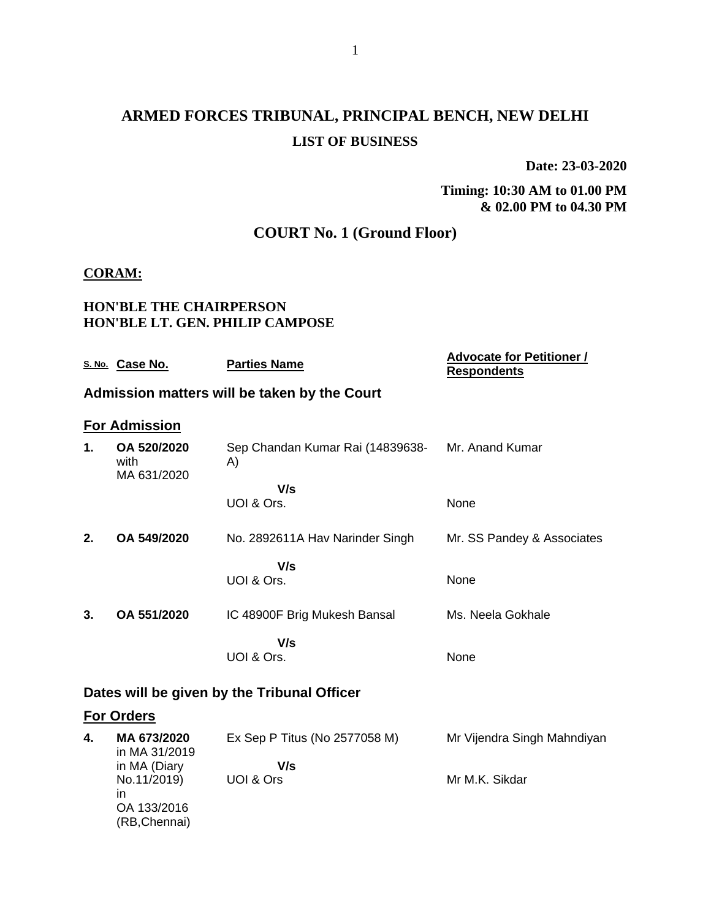# **ARMED FORCES TRIBUNAL, PRINCIPAL BENCH, NEW DELHI LIST OF BUSINESS**

**Date: 23-03-2020**

**Timing: 10:30 AM to 01.00 PM & 02.00 PM to 04.30 PM**

### **COURT No. 1 (Ground Floor)**

#### **CORAM:**

#### **HON'BLE THE CHAIRPERSON HON'BLE LT. GEN. PHILIP CAMPOSE**

|                                             | S. No. Case No.                    | <b>Parties Name</b>                          | <b>Advocate for Petitioner /</b><br><b>Respondents</b> |
|---------------------------------------------|------------------------------------|----------------------------------------------|--------------------------------------------------------|
|                                             |                                    | Admission matters will be taken by the Court |                                                        |
|                                             | <b>For Admission</b>               |                                              |                                                        |
| 1.                                          | OA 520/2020<br>with<br>MA 631/2020 | Sep Chandan Kumar Rai (14839638-<br>A)       | Mr. Anand Kumar                                        |
|                                             |                                    | V/s                                          |                                                        |
|                                             |                                    | UOI & Ors.                                   | None                                                   |
| 2.                                          | OA 549/2020                        | No. 2892611A Hav Narinder Singh              | Mr. SS Pandey & Associates                             |
|                                             |                                    | V/s<br>UOI & Ors.                            | None                                                   |
| 3.                                          | OA 551/2020                        | IC 48900F Brig Mukesh Bansal                 | Ms. Neela Gokhale                                      |
|                                             |                                    | V/s<br>UOI & Ors.                            | None                                                   |
| Dates will be given by the Tribunal Officer |                                    |                                              |                                                        |
|                                             | <b>For Orders</b>                  |                                              |                                                        |
| 4.                                          | MA 673/2020<br>in MA 31/2019       | Ex Sep P Titus (No 2577058 M)                | Mr Vijendra Singh Mahndiyan                            |

| in MA 31/2019 |           |                |
|---------------|-----------|----------------|
| in MA (Diary  | V/s       |                |
| No.11/2019)   | UOI & Ors | Mr M.K. Sikdar |
| ın            |           |                |
| OA 133/2016   |           |                |
| (RB, Chennai) |           |                |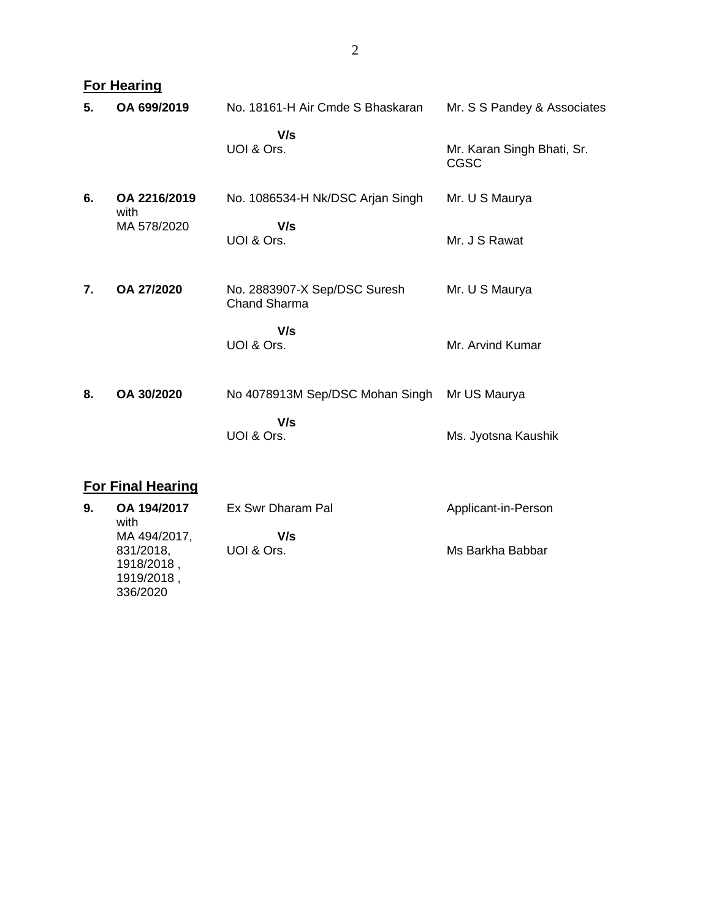|    | <b>For Hearing</b>  |                                                     |                                           |  |
|----|---------------------|-----------------------------------------------------|-------------------------------------------|--|
| 5. | OA 699/2019         | No. 18161-H Air Cmde S Bhaskaran                    | Mr. S S Pandey & Associates               |  |
|    |                     | V/s<br>UOI & Ors.                                   | Mr. Karan Singh Bhati, Sr.<br><b>CGSC</b> |  |
| 6. | OA 2216/2019        | No. 1086534-H Nk/DSC Arjan Singh                    | Mr. U S Maurya                            |  |
|    | with<br>MA 578/2020 | V/s<br>UOI & Ors.                                   | Mr. J S Rawat                             |  |
| 7. | OA 27/2020          | No. 2883907-X Sep/DSC Suresh<br><b>Chand Sharma</b> | Mr. U S Maurya                            |  |
|    |                     | V/s<br>UOI & Ors.                                   | Mr. Arvind Kumar                          |  |
| 8. | OA 30/2020          | No 4078913M Sep/DSC Mohan Singh                     | Mr US Maurya                              |  |
|    |                     | V/s<br>UOI & Ors.                                   | Ms. Jyotsna Kaushik                       |  |

# **For Final Hearing**

| 9. | OA 194/2017<br>with | Ex Swr Dharam Pal | Applicant-in-Person |
|----|---------------------|-------------------|---------------------|
|    | MA 494/2017,        | V/s               |                     |
|    | 831/2018,           | UOI & Ors.        | Ms Barkha Babbar    |
|    | 1918/2018,          |                   |                     |
|    | 1919/2018,          |                   |                     |
|    | 336/2020            |                   |                     |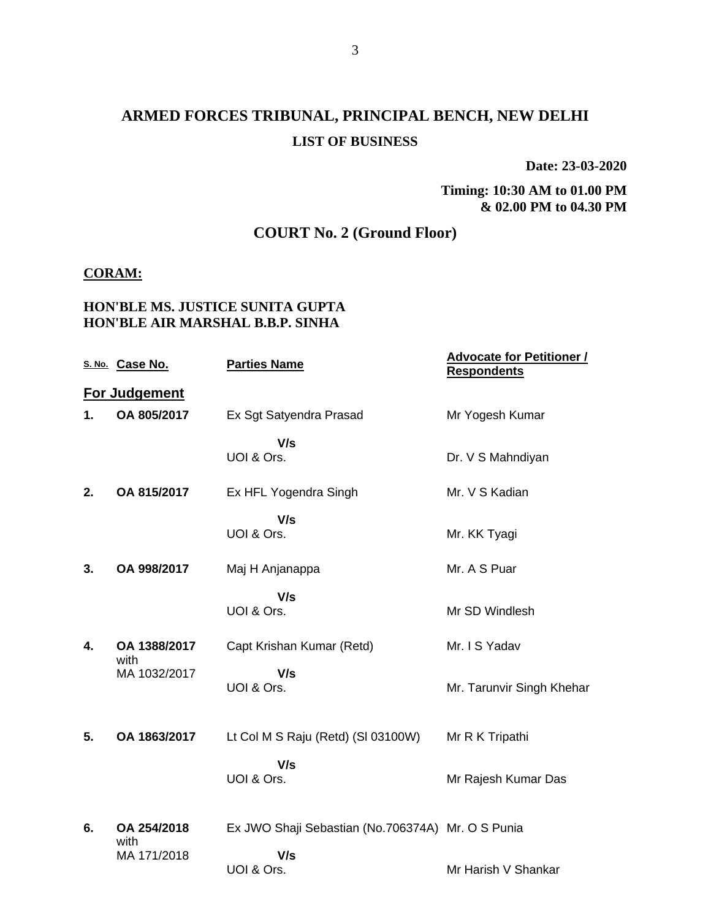### **ARMED FORCES TRIBUNAL, PRINCIPAL BENCH, NEW DELHI LIST OF BUSINESS**

**Date: 23-03-2020**

**Timing: 10:30 AM to 01.00 PM & 02.00 PM to 04.30 PM**

### **COURT No. 2 (Ground Floor)**

#### **CORAM:**

#### **HON'BLE MS. JUSTICE SUNITA GUPTA HON'BLE AIR MARSHAL B.B.P. SINHA**

|    | S. No. Case No.      | <b>Parties Name</b>                               | <b>Advocate for Petitioner /</b><br><b>Respondents</b> |
|----|----------------------|---------------------------------------------------|--------------------------------------------------------|
|    | For Judgement        |                                                   |                                                        |
| 1. | OA 805/2017          | Ex Sgt Satyendra Prasad                           | Mr Yogesh Kumar                                        |
|    |                      | V/s<br>UOI & Ors.                                 | Dr. V S Mahndiyan                                      |
| 2. | OA 815/2017          | Ex HFL Yogendra Singh                             | Mr. V S Kadian                                         |
|    |                      | V/s<br>UOI & Ors.                                 | Mr. KK Tyagi                                           |
| 3. | OA 998/2017          | Maj H Anjanappa                                   | Mr. A S Puar                                           |
|    |                      | V/s<br>UOI & Ors.                                 | Mr SD Windlesh                                         |
| 4. | OA 1388/2017<br>with | Capt Krishan Kumar (Retd)                         | Mr. I S Yadav                                          |
|    | MA 1032/2017         | V/s<br>UOI & Ors.                                 | Mr. Tarunvir Singh Khehar                              |
| 5. | OA 1863/2017         | Lt Col M S Raju (Retd) (SI 03100W)                | Mr R K Tripathi                                        |
|    |                      | V/s<br>UOI & Ors.                                 | Mr Rajesh Kumar Das                                    |
| 6. | OA 254/2018<br>with  | Ex JWO Shaji Sebastian (No.706374A) Mr. O S Punia |                                                        |
|    | MA 171/2018          | V/s<br>UOI & Ors.                                 | Mr Harish V Shankar                                    |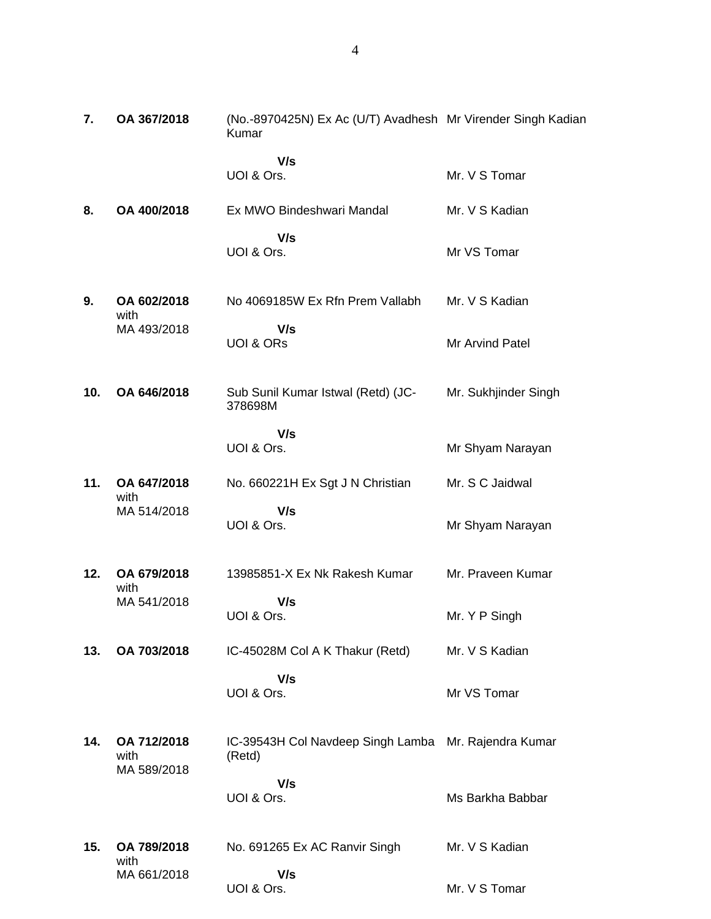| 7.  | OA 367/2018                        | (No.-8970425N) Ex Ac (U/T) Avadhesh Mr Virender Singh Kadian<br>Kumar |                      |
|-----|------------------------------------|-----------------------------------------------------------------------|----------------------|
|     |                                    | V/s<br>UOI & Ors.                                                     | Mr. V S Tomar        |
| 8.  | OA 400/2018                        | Ex MWO Bindeshwari Mandal                                             | Mr. V S Kadian       |
|     |                                    | V/s<br>UOI & Ors.                                                     | Mr VS Tomar          |
| 9.  | OA 602/2018<br>with                | No 4069185W Ex Rfn Prem Vallabh                                       | Mr. V S Kadian       |
|     | MA 493/2018                        | V/s<br><b>UOI &amp; ORS</b>                                           | Mr Arvind Patel      |
| 10. | OA 646/2018                        | Sub Sunil Kumar Istwal (Retd) (JC-<br>378698M                         | Mr. Sukhjinder Singh |
|     |                                    | V/s<br>UOI & Ors.                                                     | Mr Shyam Narayan     |
| 11. | OA 647/2018<br>with                | No. 660221H Ex Sgt J N Christian                                      | Mr. S C Jaidwal      |
|     | MA 514/2018                        | V/s<br>UOI & Ors.                                                     | Mr Shyam Narayan     |
| 12. | OA 679/2018<br>with                | 13985851-X Ex Nk Rakesh Kumar                                         | Mr. Praveen Kumar    |
|     | MA 541/2018                        | V/s<br>UOI & Ors.                                                     | Mr. Y P Singh        |
| 13. | OA 703/2018                        | IC-45028M Col A K Thakur (Retd)                                       | Mr. V S Kadian       |
|     |                                    | V/s<br>UOI & Ors.                                                     | Mr VS Tomar          |
| 14. | OA 712/2018<br>with<br>MA 589/2018 | IC-39543H Col Navdeep Singh Lamba Mr. Rajendra Kumar<br>(Retd)        |                      |
|     |                                    | V/s<br>UOI & Ors.                                                     | Ms Barkha Babbar     |
| 15. | OA 789/2018                        | No. 691265 Ex AC Ranvir Singh                                         | Mr. V S Kadian       |
|     | with<br>MA 661/2018                | V/s<br>UOI & Ors.                                                     | Mr. V S Tomar        |

UOI & Ors.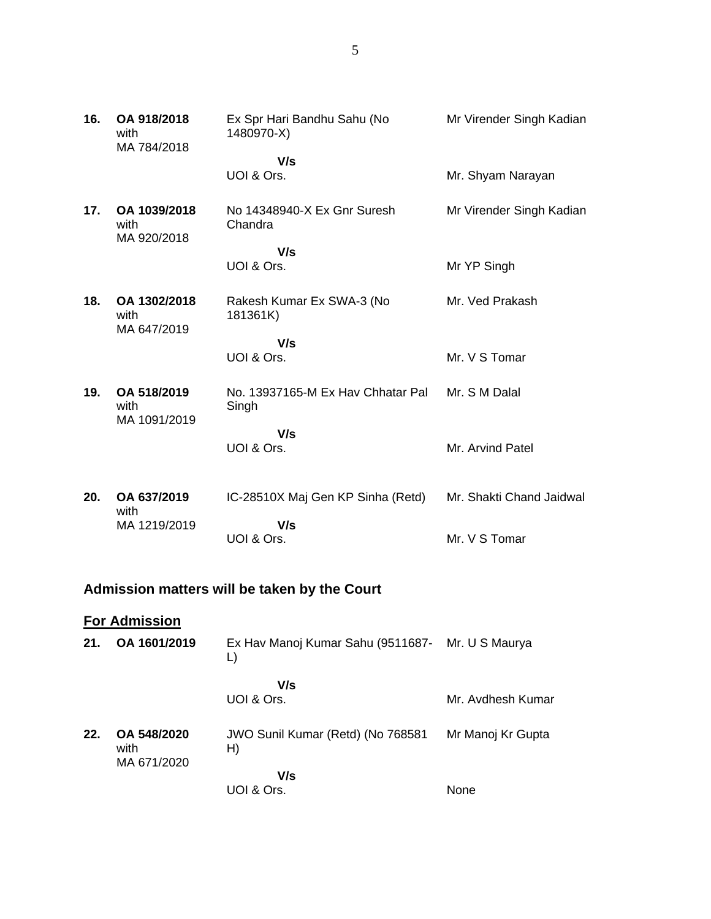| 16. | OA 918/2018<br>with<br>MA 784/2018  | Ex Spr Hari Bandhu Sahu (No<br>1480970-X)  | Mr Virender Singh Kadian |
|-----|-------------------------------------|--------------------------------------------|--------------------------|
|     |                                     | V/s<br>UOI & Ors.                          | Mr. Shyam Narayan        |
| 17. | OA 1039/2018<br>with<br>MA 920/2018 | No 14348940-X Ex Gnr Suresh<br>Chandra     | Mr Virender Singh Kadian |
|     |                                     | V/s                                        |                          |
|     |                                     | UOI & Ors.                                 | Mr YP Singh              |
| 18. | OA 1302/2018<br>with<br>MA 647/2019 | Rakesh Kumar Ex SWA-3 (No<br>181361K)      | Mr. Ved Prakash          |
|     |                                     | V/s                                        |                          |
|     |                                     | UOI & Ors.                                 | Mr. V S Tomar            |
| 19. | OA 518/2019<br>with<br>MA 1091/2019 | No. 13937165-M Ex Hav Chhatar Pal<br>Singh | Mr. S M Dalal            |
|     |                                     | V/s                                        |                          |
|     |                                     | UOI & Ors.                                 | Mr. Arvind Patel         |
| 20. | OA 637/2019<br>with                 | IC-28510X Maj Gen KP Sinha (Retd)          | Mr. Shakti Chand Jaidwal |

#### MA 1219/2019  **V/s** UOI & Ors. Mr. V S Tomar

# **Admission matters will be taken by the Court**

|     | <b>For Admission</b>               |                                                        |                   |
|-----|------------------------------------|--------------------------------------------------------|-------------------|
| 21. | OA 1601/2019                       | Ex Hav Manoj Kumar Sahu (9511687- Mr. U S Maurya<br>L) |                   |
|     |                                    | V/s<br>UOI & Ors.                                      | Mr. Avdhesh Kumar |
| 22. | OA 548/2020<br>with<br>MA 671/2020 | JWO Sunil Kumar (Retd) (No 768581<br>H)                | Mr Manoj Kr Gupta |
|     |                                    | V/s<br>UOI & Ors.                                      | None              |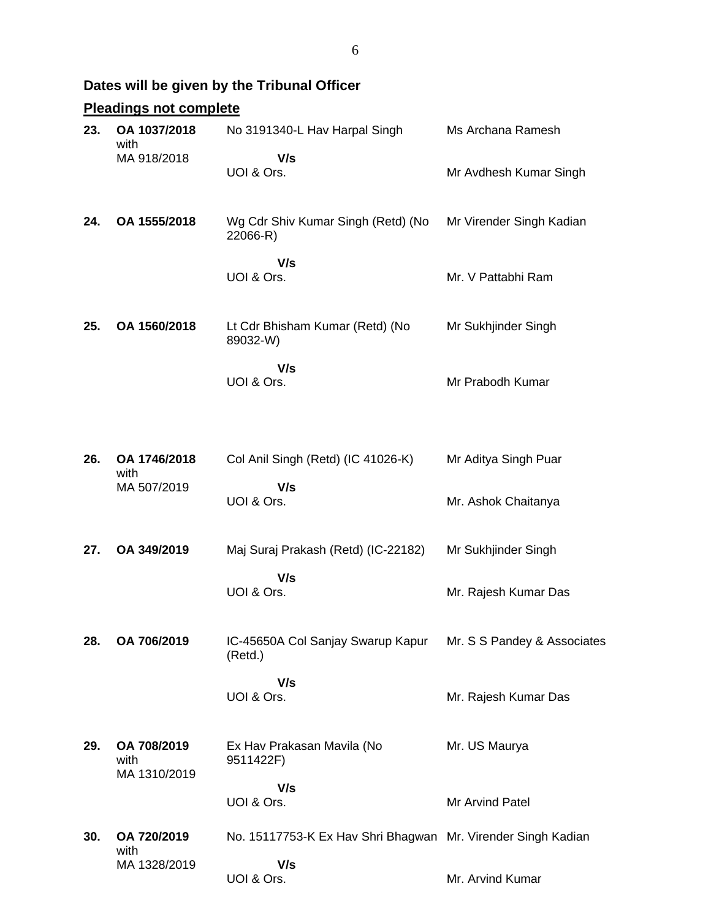# **Dates will be given by the Tribunal Officer**

# **Pleadings not complete**

| 23. | OA 1037/2018<br>with<br>MA 918/2018 | No 3191340-L Hav Harpal Singh<br>V/s                         | Ms Archana Ramesh           |
|-----|-------------------------------------|--------------------------------------------------------------|-----------------------------|
|     |                                     | UOI & Ors.                                                   | Mr Avdhesh Kumar Singh      |
| 24. | OA 1555/2018                        | Wg Cdr Shiv Kumar Singh (Retd) (No<br>22066-R)               | Mr Virender Singh Kadian    |
|     |                                     | V/s<br>UOI & Ors.                                            | Mr. V Pattabhi Ram          |
| 25. | OA 1560/2018                        | Lt Cdr Bhisham Kumar (Retd) (No<br>89032-W)                  | Mr Sukhjinder Singh         |
|     |                                     | V/s<br>UOI & Ors.                                            | Mr Prabodh Kumar            |
| 26. | OA 1746/2018<br>with                | Col Anil Singh (Retd) (IC 41026-K)                           | Mr Aditya Singh Puar        |
|     | MA 507/2019                         | V/s<br>UOI & Ors.                                            | Mr. Ashok Chaitanya         |
| 27. | OA 349/2019                         | Maj Suraj Prakash (Retd) (IC-22182)                          | Mr Sukhjinder Singh         |
|     |                                     | V/s<br>UOI & Ors.                                            | Mr. Rajesh Kumar Das        |
| 28. | OA 706/2019                         | IC-45650A Col Sanjay Swarup Kapur<br>(Retd.)                 | Mr. S S Pandey & Associates |
|     |                                     | V/s<br>UOI & Ors.                                            | Mr. Rajesh Kumar Das        |
| 29. | OA 708/2019<br>with<br>MA 1310/2019 | Ex Hav Prakasan Mavila (No<br>9511422F)                      | Mr. US Maurya               |
|     |                                     | V/s<br>UOI & Ors.                                            | Mr Arvind Patel             |
| 30. | OA 720/2019<br>with                 | No. 15117753-K Ex Hav Shri Bhagwan Mr. Virender Singh Kadian |                             |
|     | MA 1328/2019                        | V/s<br>UOI & Ors.                                            | Mr. Arvind Kumar            |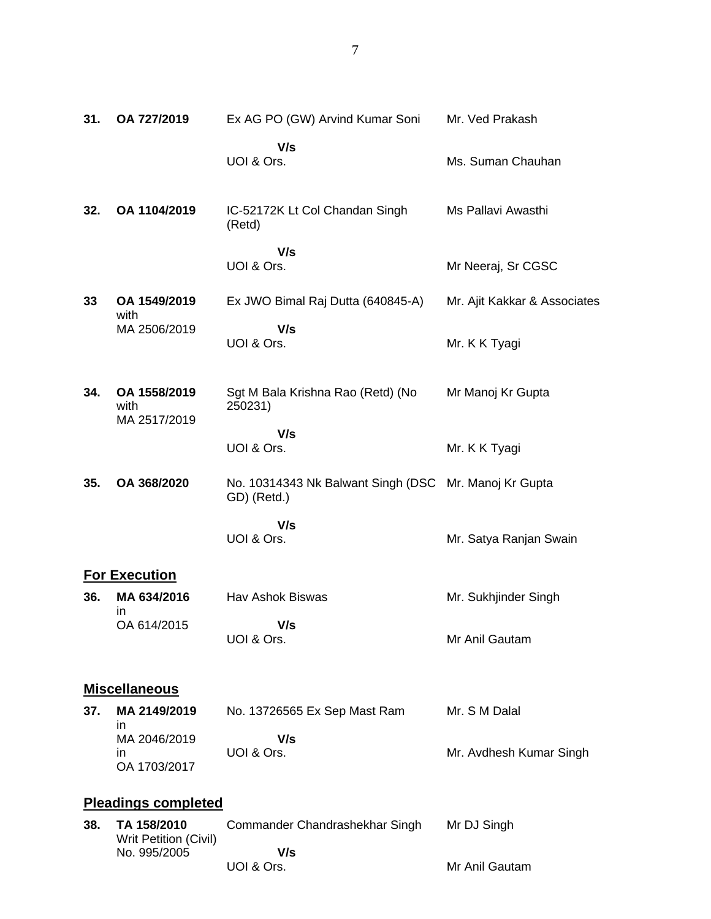| 31. | OA 727/2019                                                 | Ex AG PO (GW) Arvind Kumar Soni                                      | Mr. Ved Prakash              |
|-----|-------------------------------------------------------------|----------------------------------------------------------------------|------------------------------|
|     |                                                             | V/s<br>UOI & Ors.                                                    | Ms. Suman Chauhan            |
| 32. | OA 1104/2019                                                | IC-52172K Lt Col Chandan Singh<br>(Retd)                             | Ms Pallavi Awasthi           |
|     |                                                             | V/s<br>UOI & Ors.                                                    | Mr Neeraj, Sr CGSC           |
| 33  | OA 1549/2019<br>with                                        | Ex JWO Bimal Raj Dutta (640845-A)                                    | Mr. Ajit Kakkar & Associates |
|     | MA 2506/2019                                                | V/s<br>UOI & Ors.                                                    | Mr. K K Tyagi                |
| 34. | OA 1558/2019<br>with<br>MA 2517/2019                        | Sgt M Bala Krishna Rao (Retd) (No<br>250231)                         | Mr Manoj Kr Gupta            |
|     |                                                             | V/s<br>UOI & Ors.                                                    | Mr. K K Tyagi                |
| 35. | OA 368/2020                                                 | No. 10314343 Nk Balwant Singh (DSC Mr. Manoj Kr Gupta<br>GD) (Retd.) |                              |
|     |                                                             | V/s<br>UOI & Ors.                                                    | Mr. Satya Ranjan Swain       |
|     | <b>For Execution</b>                                        |                                                                      |                              |
| 36. | MA 634/2016<br>ın                                           | Hav Ashok Biswas                                                     | Mr. Sukhjinder Singh         |
|     | OA 614/2015                                                 | V/s<br>UOI & Ors.                                                    | Mr Anil Gautam               |
|     | <b>Miscellaneous</b>                                        |                                                                      |                              |
| 37. | MA 2149/2019                                                | No. 13726565 Ex Sep Mast Ram                                         | Mr. S M Dalal                |
|     | in<br>MA 2046/2019<br>in<br>OA 1703/2017                    | V/s<br>UOI & Ors.                                                    | Mr. Avdhesh Kumar Singh      |
|     | <b>Pleadings completed</b>                                  |                                                                      |                              |
| 38. | TA 158/2010<br><b>Writ Petition (Civil)</b><br>No. 995/2005 | Commander Chandrashekhar Singh<br>V/s                                | Mr DJ Singh                  |
|     |                                                             | UOI & Ors.                                                           | Mr Anil Gautam               |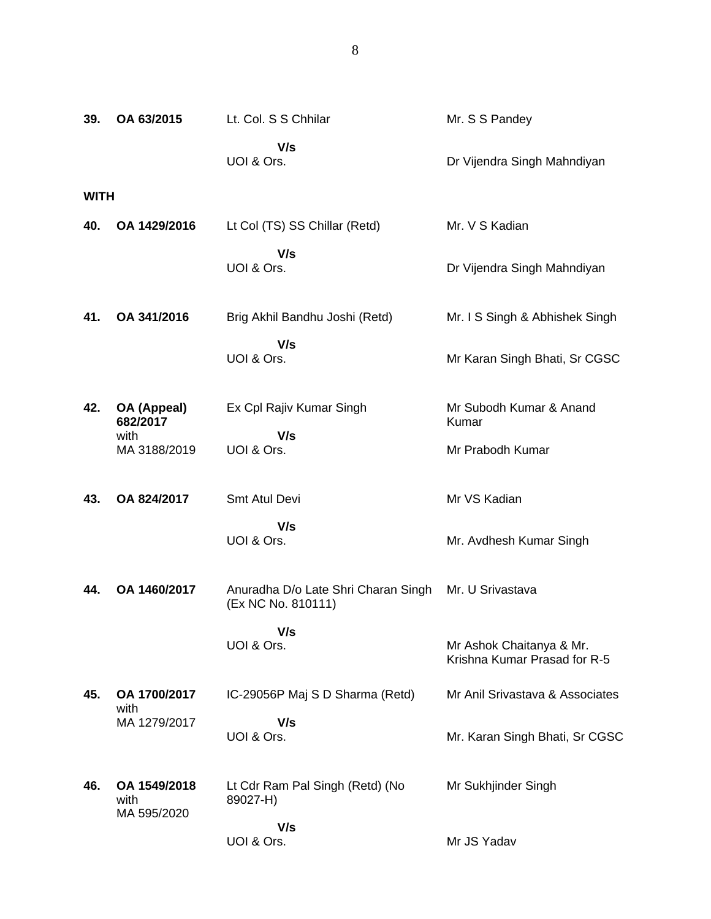| 39.  | OA 63/2015                          | Lt. Col. S S Chhilar                                      | Mr. S S Pandey                                           |
|------|-------------------------------------|-----------------------------------------------------------|----------------------------------------------------------|
|      |                                     | V/s<br>UOI & Ors.                                         | Dr Vijendra Singh Mahndiyan                              |
| WITH |                                     |                                                           |                                                          |
| 40.  | OA 1429/2016                        | Lt Col (TS) SS Chillar (Retd)                             | Mr. V S Kadian                                           |
|      |                                     | V/s<br>UOI & Ors.                                         | Dr Vijendra Singh Mahndiyan                              |
| 41.  | OA 341/2016                         | Brig Akhil Bandhu Joshi (Retd)                            | Mr. I S Singh & Abhishek Singh                           |
|      |                                     | V/s<br>UOI & Ors.                                         | Mr Karan Singh Bhati, Sr CGSC                            |
| 42.  | OA (Appeal)<br>682/2017             | Ex Cpl Rajiv Kumar Singh                                  | Mr Subodh Kumar & Anand<br>Kumar                         |
|      | with<br>MA 3188/2019                | V/s<br>UOI & Ors.                                         | Mr Prabodh Kumar                                         |
| 43.  | OA 824/2017                         | Smt Atul Devi                                             | Mr VS Kadian                                             |
|      |                                     | V/s<br>UOI & Ors.                                         | Mr. Avdhesh Kumar Singh                                  |
| 44.  | OA 1460/2017                        | Anuradha D/o Late Shri Charan Singh<br>(Ex NC No. 810111) | Mr. U Srivastava                                         |
|      |                                     | V/s<br>UOI & Ors.                                         | Mr Ashok Chaitanya & Mr.<br>Krishna Kumar Prasad for R-5 |
| 45.  | OA 1700/2017                        | IC-29056P Maj S D Sharma (Retd)                           | Mr Anil Srivastava & Associates                          |
|      | with<br>MA 1279/2017                | V/s<br>UOI & Ors.                                         | Mr. Karan Singh Bhati, Sr CGSC                           |
| 46.  | OA 1549/2018<br>with<br>MA 595/2020 | Lt Cdr Ram Pal Singh (Retd) (No<br>89027-H)               | Mr Sukhjinder Singh                                      |

Mr JS Yadav